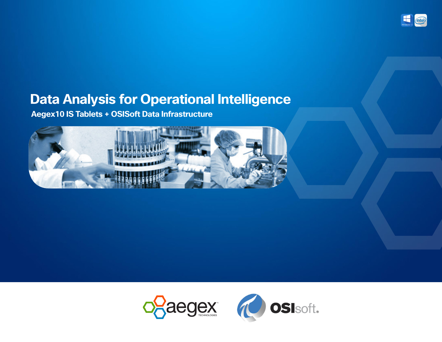

### **Data Analysis for Operational Intelligence**

**Aegex10 IS Tablets + OSISoft Data Infrastructure**



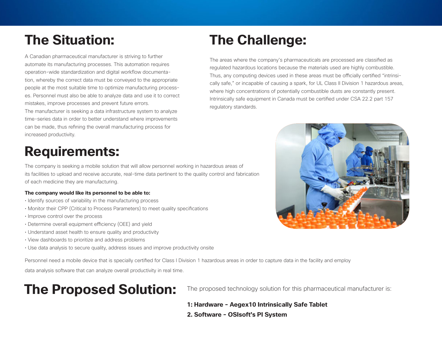# **The Situation:**

A Canadian pharmaceutical manufacturer is striving to further automate its manufacturing processes. This automation requires operation-wide standardization and digital workflow documentation, whereby the correct data must be conveyed to the appropriate people at the most suitable time to optimize manufacturing processes. Personnel must also be able to analyze data and use it to correct mistakes, improve processes and prevent future errors. The manufacturer is seeking a data infrastructure system to analyze

time-series data in order to better understand where improvements can be made, thus refining the overall manufacturing process for increased productivity.

### **Requirements:**

The company is seeking a mobile solution that will allow personnel working in hazardous areas of its facilities to upload and receive accurate, real-time data pertinent to the quality control and fabrication of each medicine they are manufacturing.

#### **The company would like its personnel to be able to:**

- Identify sources of variability in the manufacturing process
- Monitor their CPP (Critical to Process Parameters) to meet quality specifications
- Improve control over the process
- Determine overall equipment efficiency (OEE) and yield
- Understand asset health to ensure quality and productivity
- View dashboards to prioritize and address problems
- Use data analysis to secure quality, address issues and improve productivity onsite

Personnel need a mobile device that is specially certified for Class I Division 1 hazardous areas in order to capture data in the facility and employ

data analysis software that can analyze overall productivity in real time.

## **The Proposed Solution:**

The proposed technology solution for this pharmaceutical manufacturer is:

**1: Hardware - Aegex10 Intrinsically Safe Tablet 2. Software - OSIsoft's PI System**

# **The Challenge:**

The areas where the company's pharmaceuticals are processed are classified as regulated hazardous locations because the materials used are highly combustible. Thus, any computing devices used in these areas must be officially certified "intrinsically safe," or incapable of causing a spark, for UL Class II Division 1 hazardous areas, where high concentrations of potentially combustible dusts are constantly present. Intrinsically safe equipment in Canada must be certified under CSA 22.2 part 157 regulatory standards.

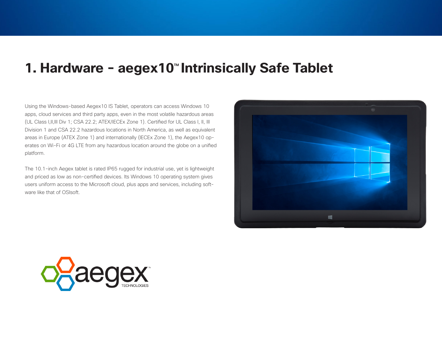#### **1. Hardware - aegex10<sup>™</sup> Intrinsically Safe Tablet**

Using the Windows-based Aegex10 IS Tablet, operators can access Windows 10 apps, cloud services and third party apps, even in the most volatile hazardous areas (UL Class I,II,III Div 1; CSA 22.2; ATEX/IECEx Zone 1). Certified for UL Class I, II, III Division 1 and CSA 22.2 hazardous locations in North America, as well as equivalent areas in Europe (ATEX Zone 1) and internationally (IECEx Zone 1), the Aegex10 operates on Wi-Fi or 4G LTE from any hazardous location around the globe on a unified platform.

The 10.1-inch Aegex tablet is rated IP65 rugged for industrial use, yet is lightweight and priced as low as non-certified devices. Its Windows 10 operating system gives users uniform access to the Microsoft cloud, plus apps and services, including software like that of OSIsoft.



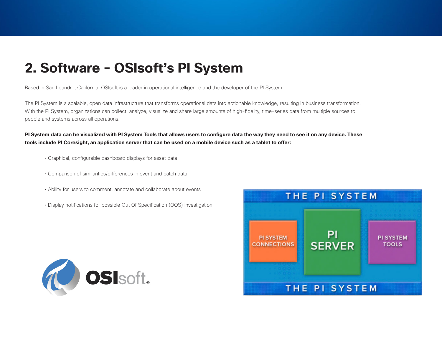### **2. Software - OSIsoft's PI System**

Based in San Leandro, California, OSIsoft is a leader in operational intelligence and the developer of the PI System.

The PI System is a scalable, open data infrastructure that transforms operational data into actionable knowledge, resulting in business transformation. With the PI System, organizations can collect, analyze, visualize and share large amounts of high-fidelity, time-series data from multiple sources to people and systems across all operations.

**PI System data can be visualized with PI System Tools that allows users to configure data the way they need to see it on any device. These tools include PI Coresight, an application server that can be used on a mobile device such as a tablet to offer:**

- Graphical, configurable dashboard displays for asset data
- Comparison of similarities/differences in event and batch data
- Ability for users to comment, annotate and collaborate about events
- Display notifications for possible Out Of Specification (OOS) Investigation



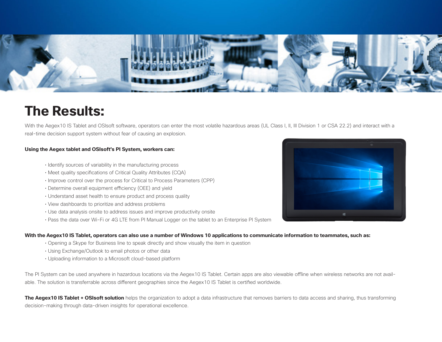

### **The Results:**

With the Aegex10 IS Tablet and OSIsoft software, operators can enter the most volatile hazardous areas (UL Class I, II, III Division 1 or CSA 22.2) and interact with a real-time decision support system without fear of causing an explosion.

#### **Using the Aegex tablet and OSIsoft's PI System, workers can:**

- Identify sources of variability in the manufacturing process
- Meet quality specifications of Critical Quality Attributes (CQA)
- Improve control over the process for Critical to Process Parameters (CPP)
- Determine overall equipment efficiency (OEE) and yield
- Understand asset health to ensure product and process quality
- View dashboards to prioritize and address problems
- Use data analysis onsite to address issues and improve productivity onsite
- Pass the data over Wi-Fi or 4G LTE from PI Manual Logger on the tablet to an Enterprise PI System

#### **With the Aegex10 IS Tablet, operators can also use a number of Windows 10 applications to communicate information to teammates, such as:**

- Opening a Skype for Business line to speak directly and show visually the item in question
- Using Exchange/Outlook to email photos or other data
- Uploading information to a Microsoft cloud-based platform

The PI System can be used anywhere in hazardous locations via the Aegex10 IS Tablet. Certain apps are also viewable offline when wireless networks are not available. The solution is transferrable across different geographies since the Aegex10 IS Tablet is certified worldwide.

**The Aegex10 IS Tablet + OSIsoft solution** helps the organization to adopt a data infrastructure that removes barriers to data access and sharing, thus transforming decision-making through data-driven insights for operational excellence.